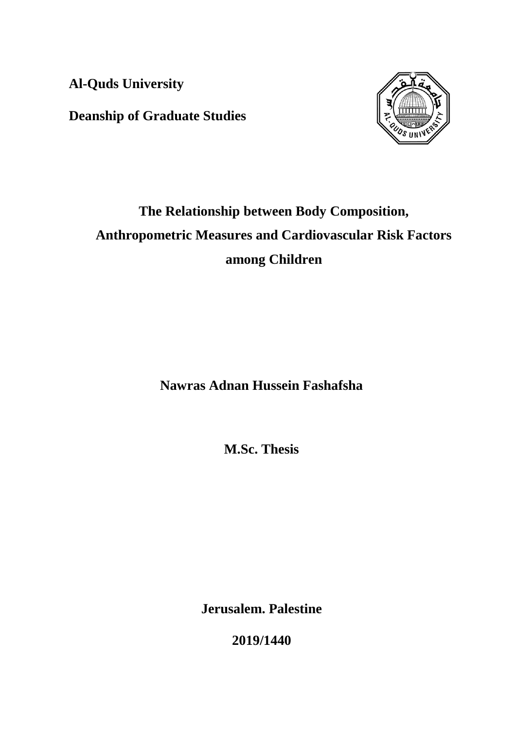**Al-Quds University**

**Deanship of Graduate Studies**



# **The Relationship between Body Composition, Anthropometric Measures and Cardiovascular Risk Factors among Children**

**Nawras Adnan Hussein Fashafsha**

**M.Sc. Thesis**

**Jerusalem. Palestine**

**2019/1440**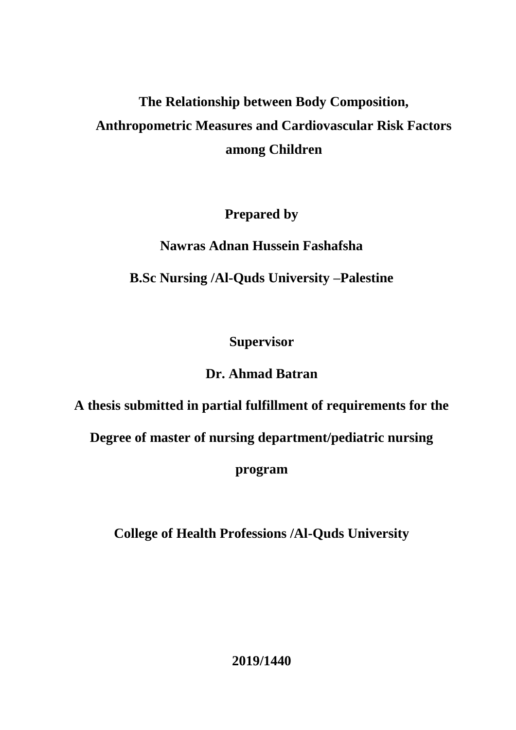# **The Relationship between Body Composition, Anthropometric Measures and Cardiovascular Risk Factors among Children**

## **Prepared by**

# **Nawras Adnan Hussein Fashafsha**

# **B.Sc Nursing /Al-Quds University –Palestine**

# **Supervisor**

# **Dr. Ahmad Batran**

**A thesis submitted in partial fulfillment of requirements for the**

**Degree of master of nursing department/pediatric nursing** 

**program**

**College of Health Professions /Al-Quds University**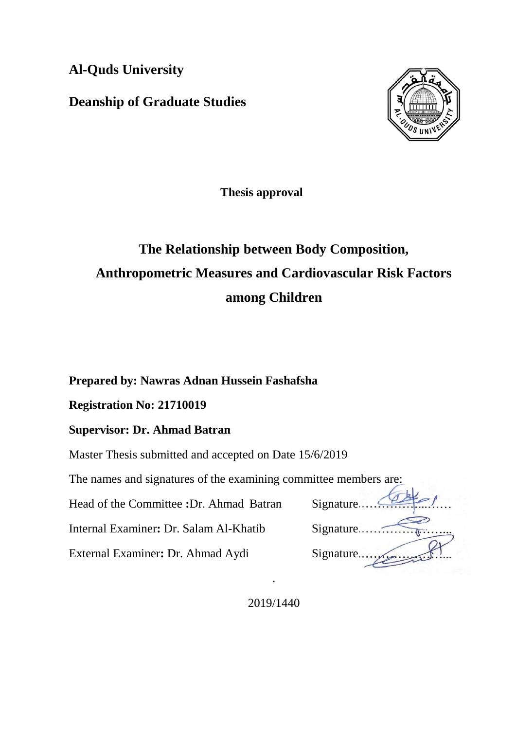**Al-Quds University**

**Deanship of Graduate Studies**



**Thesis approval**

# **The Relationship between Body Composition, Anthropometric Measures and Cardiovascular Risk Factors among Children**

### **Prepared by: Nawras Adnan Hussein Fashafsha**

### **Registration No: 21710019**

### **Supervisor: Dr. Ahmad Batran**

Master Thesis submitted and accepted on Date 15/6/2019

The names and signatures of the examining committee members are:

Head of the Committee **:Dr.** Ahmad Batran

Internal Examiner: Dr. Salam Al-Khatib

External Examiner: Dr. Ahmad Aydi

| nuce members are. |
|-------------------|
| Signature.        |
| Signature.        |
| Signature.        |
|                   |

2019/1440

.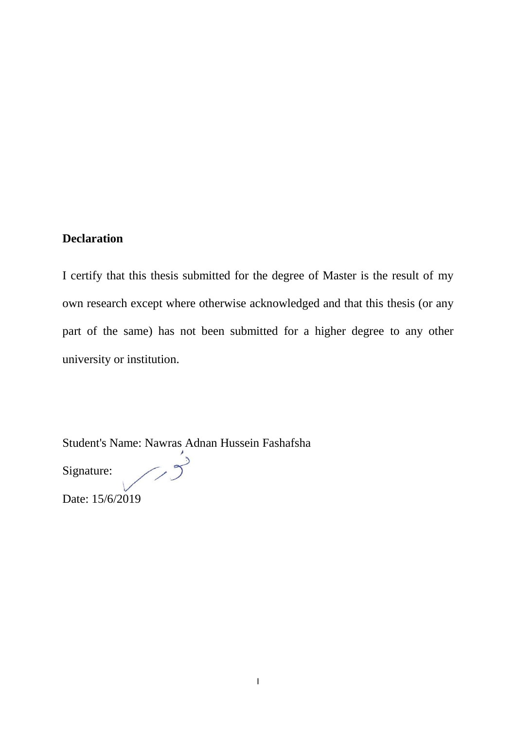## **Declaration**

I certify that this thesis submitted for the degree of Master is the result of my own research except where otherwise acknowledged and that this thesis (or any part of the same) has not been submitted for a higher degree to any other university or institution.

Student's Name: Nawras Adnan Hussein Fashafsha

 $\bigwedge$ Signature:

Date: 15/6/2019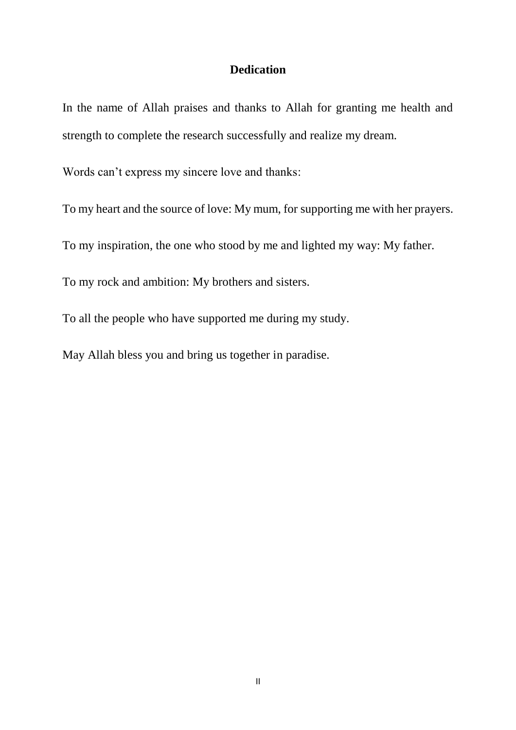### **Dedication**

<span id="page-4-0"></span>In the name of Allah praises and thanks to Allah for granting me health and strength to complete the research successfully and realize my dream.

Words can't express my sincere love and thanks:

To my heart and the source of love: My mum, for supporting me with her prayers.

To my inspiration, the one who stood by me and lighted my way: My father.

To my rock and ambition: My brothers and sisters.

To all the people who have supported me during my study.

May Allah bless you and bring us together in paradise.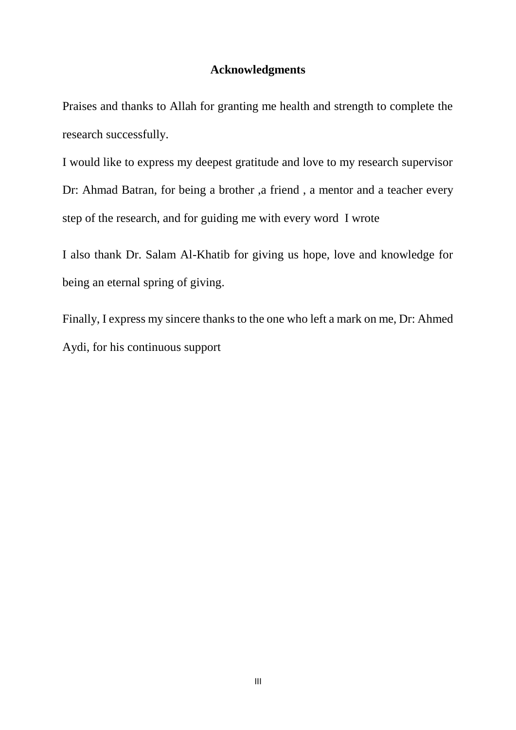### **Acknowledgments**

<span id="page-5-0"></span>Praises and thanks to Allah for granting me health and strength to complete the research successfully.

I would like to express my deepest gratitude and love to my research supervisor Dr: Ahmad Batran, for being a brother ,a friend , a mentor and a teacher every step of the research, and for guiding me with every word I wrote

I also thank Dr. Salam Al-Khatib for giving us hope, love and knowledge for being an eternal spring of giving.

Finally, I express my sincere thanks to the one who left a mark on me, Dr: Ahmed Aydi, for his continuous support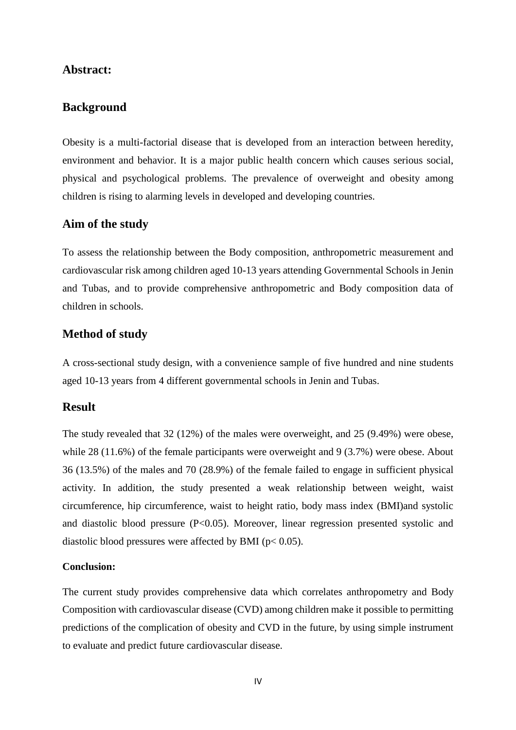#### <span id="page-6-0"></span>**Abstract:**

### **Background**

Obesity is a multi-factorial disease that is developed from an interaction between heredity, environment and behavior. It is a major public health concern which causes serious social, physical and psychological problems. The prevalence of overweight and obesity among children is rising to alarming levels in developed and developing countries.

### **Aim of the study**

To assess the relationship between the Body composition, anthropometric measurement and cardiovascular risk among children aged 10-13 years attending Governmental Schools in Jenin and Tubas, and to provide comprehensive anthropometric and Body composition data of children in schools.

### **Method of study**

A cross-sectional study design, with a convenience sample of five hundred and nine students aged 10-13 years from 4 different governmental schools in Jenin and Tubas.

#### **Result**

The study revealed that 32 (12%) of the males were overweight, and 25 (9.49%) were obese, while 28 (11.6%) of the female participants were overweight and 9 (3.7%) were obese. About 36 (13.5%) of the males and 70 (28.9%) of the female failed to engage in sufficient physical activity. In addition, the study presented a weak relationship between weight, waist circumference, hip circumference, waist to height ratio, body mass index (BMI)and systolic and diastolic blood pressure (P<0.05). Moreover, linear regression presented systolic and diastolic blood pressures were affected by BMI ( $p < 0.05$ ).

#### **Conclusion:**

The current study provides comprehensive data which correlates anthropometry and Body Composition with cardiovascular disease (CVD) among children make it possible to permitting predictions of the complication of obesity and CVD in the future, by using simple instrument to evaluate and predict future cardiovascular disease.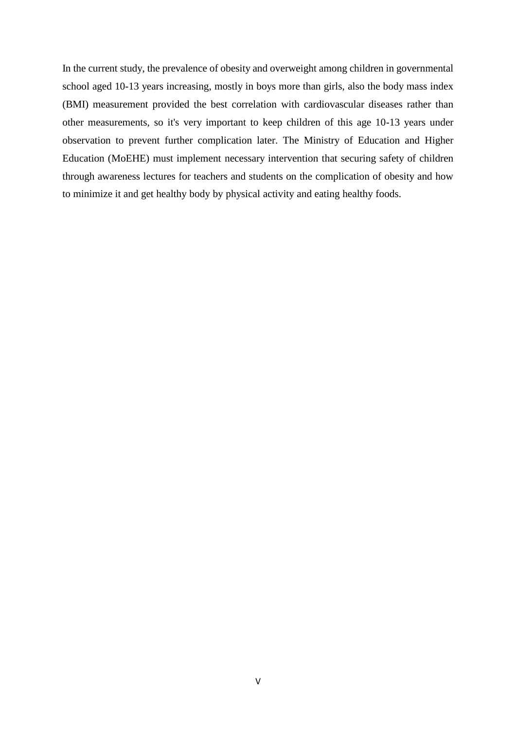In the current study, the prevalence of obesity and overweight among children in governmental school aged 10-13 years increasing, mostly in boys more than girls, also the body mass index (BMI) measurement provided the best correlation with cardiovascular diseases rather than other measurements, so it's very important to keep children of this age 10-13 years under observation to prevent further complication later. The Ministry of Education and Higher Education (MoEHE) must implement necessary intervention that securing safety of children through awareness lectures for teachers and students on the complication of obesity and how to minimize it and get healthy body by physical activity and eating healthy foods.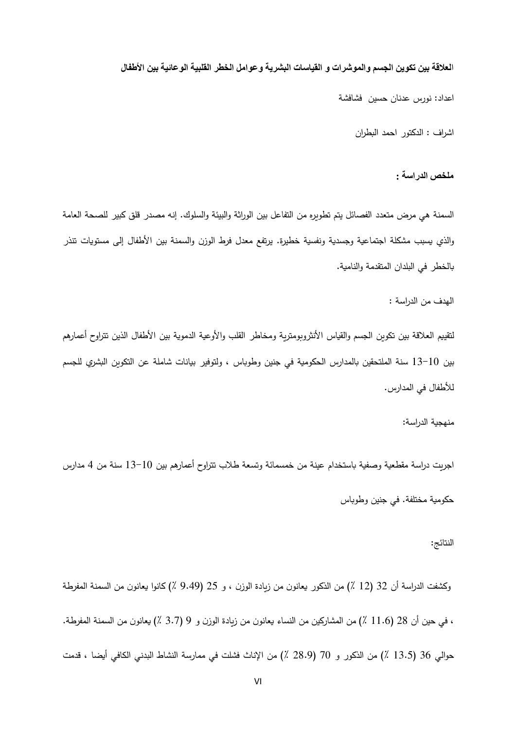#### ا**لعالقة بين تكوين الجسم والموشرات و القياسات البشرية وعوامل الخطر القلبية الوعائية بين األطفال**

اعداد: نورس عدنان حسين فشافشة

اشراف : الدكتور احمد البطران

**ملخص الدراسة :**

<span id="page-8-0"></span>السمنة هي مرض متعدد الفصائل يتم تطويره من التفاعل بين الوراثة والبيئة والسلوك. إنه مصدر قلق كبير للصحة العامة والذي يسبب مشكلة اجتماعية وجسدية ونفسية خطيرة. يرتفع معدل فرط الوزن والسمنة بين الأطفال إلى مستويات تتذر بالخطر في البلدان المتقدمة والنامية.

الهدف من الدراسة :

لتقييم العلاقة بين تكوين الجسم والقياس الأنثروبومترية ومخاطر القلب والأوعية الدموية بين الأطفال الذين تتراوح أعمارهم بين 01-01 سنة الملتحقين بالمدارس الحكومية في جنين وطوباس ، ولتوفير بيانات شاملة عن التكوين البشري للجسم لألطفال في المدارس.

منهجية الدراسة:

اجر يت دراسة مقطعية وصفية باستخدام عينة من خمسمائة وتسعة طالب تتراوح أعمارهم بين 01-01 سنة من 4 مدارس حكومية مختلفة. في جنين وطوباس

#### النتائج:

وكشفت الدراسة أن 32 (12 ٪) من الذكور يعانون من زيادة الوزن ، و 25 (9.49 ٪) كانوا يعانون من السمنة المفرطة ، في حين أن 32 )00.1 ٪( من المشاركين من النساء يعانون من زيادة الوزن و 9 )1.3 ٪( يعانون من السمنة المفرطة. حوالي 36 (13.5 ٪) من الذكور و 70 (28.9 ٪) من الإناث فشلت في ممارسة النشاط البدني الكافي أيضا ، قدمت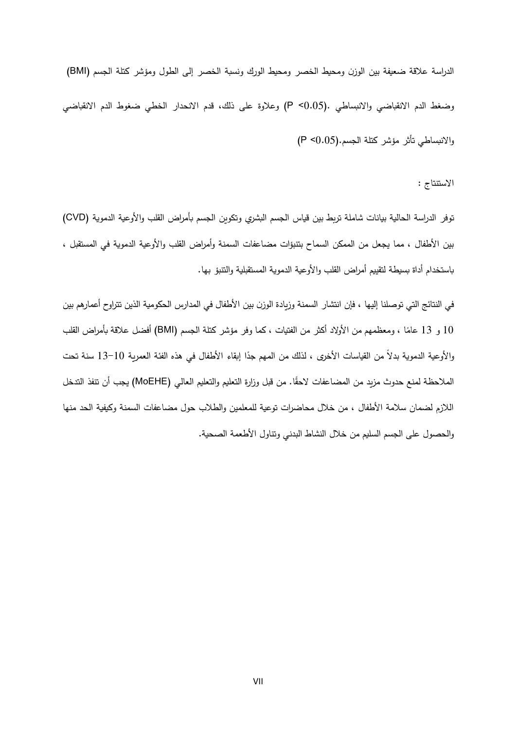الدراسة علاقة ضعيفة بين الوزن ومحيط الخصر ومحيط الورك ونسبة الخصر إلى الطول ومؤشر كتلة الجسم (BMI) وضغط الدم االنقباضي واالنبساطي .(0.05> P (وعالوة على ذلك، قدم االنحدار الخطي ضغوط الدم االنقباضي واالنبساطي تأثر مؤشر كتلة الجسم.(0.05> P(

االستنتاج :

توفر الدراسة الحالية بيانات شاملة تربط بين قياس الجسم البشري وتكوين الجسم بأمراض القلب والأوعية الدموية (CVD) بين األطفال ، مما يجعل من الممكن السماح بتنبؤات مضاعفات السمنة وأمراض القلب واألوعية الدموية في المستقبل ، باستخدام أداة بسيطة لتقييم أمراض القلب والأوعية الدموية المستقبلية والتتبؤ بها.

في النتائج التي توصلنا إليها ، فإن انتشار السمنة وزيادة الوزن بين الأطفال في المدارس الحكومية الذين تتراوح أعمارهم بين 10 و 13 عامًا ، ومعظمهم من الأولاد أكثر من الفتيات ، كما وفر مؤشر كتلة الجسم (BMI) أفضل علاقة بأمراض القلب اِلأوعية الدموية بدلا من القياسات الأخرى ، لذلك من المـهم جدًا إبقاء الأطفال في هذه الفئة العمرية 10−13 سنة تحت الملاحظة لمنع حدوث مزيد من المضاعفات لاحقًا. من قبل وزارة التعليم والتعليم العالي (MoEHE) يجب أن تنفذ التدخل الالزم لضمان سالمة األطفال ، من خالل محاضرات توعية للمعلمين والطالب حول مضاعفات السمنة وكيفية الحد منها والحصول على الجسم السليم من خالل النشاط البدني وتناول األطعمة الصحية.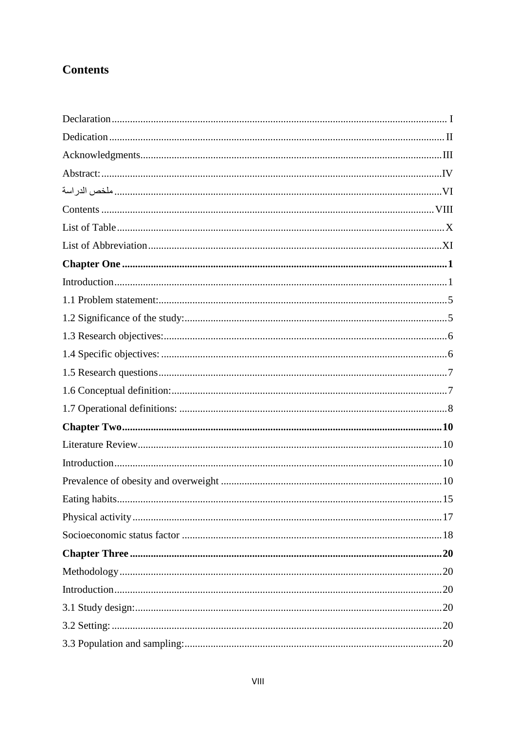## <span id="page-10-0"></span>**Contents**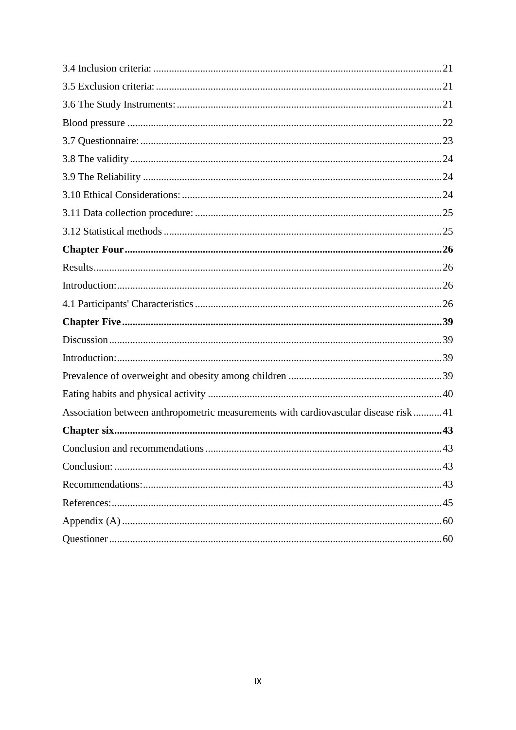| Association between anthropometric measurements with cardiovascular disease risk 41 |     |
|-------------------------------------------------------------------------------------|-----|
|                                                                                     | .43 |
|                                                                                     |     |
|                                                                                     |     |
|                                                                                     |     |
|                                                                                     |     |
|                                                                                     |     |
|                                                                                     |     |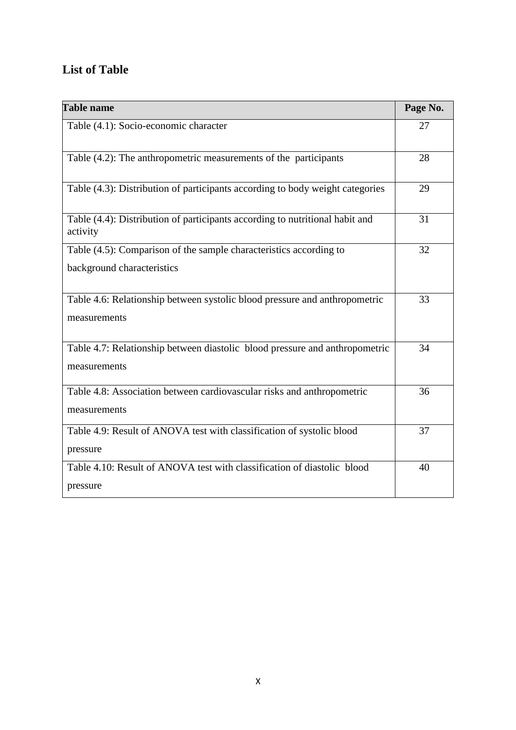# <span id="page-12-0"></span>**List of Table**

| <b>Table name</b>                                                                        | Page No. |
|------------------------------------------------------------------------------------------|----------|
| Table (4.1): Socio-economic character                                                    | 27       |
| Table (4.2): The anthropometric measurements of the participants                         | 28       |
| Table (4.3): Distribution of participants according to body weight categories            | 29       |
| Table (4.4): Distribution of participants according to nutritional habit and<br>activity | 31       |
| Table (4.5): Comparison of the sample characteristics according to                       | 32       |
| background characteristics                                                               |          |
| Table 4.6: Relationship between systolic blood pressure and anthropometric               | 33       |
| measurements                                                                             |          |
| Table 4.7: Relationship between diastolic blood pressure and anthropometric              | 34       |
| measurements                                                                             |          |
| Table 4.8: Association between cardiovascular risks and anthropometric                   | 36       |
| measurements                                                                             |          |
| Table 4.9: Result of ANOVA test with classification of systolic blood                    | 37       |
| pressure                                                                                 |          |
| Table 4.10: Result of ANOVA test with classification of diastolic blood                  | 40       |
| pressure                                                                                 |          |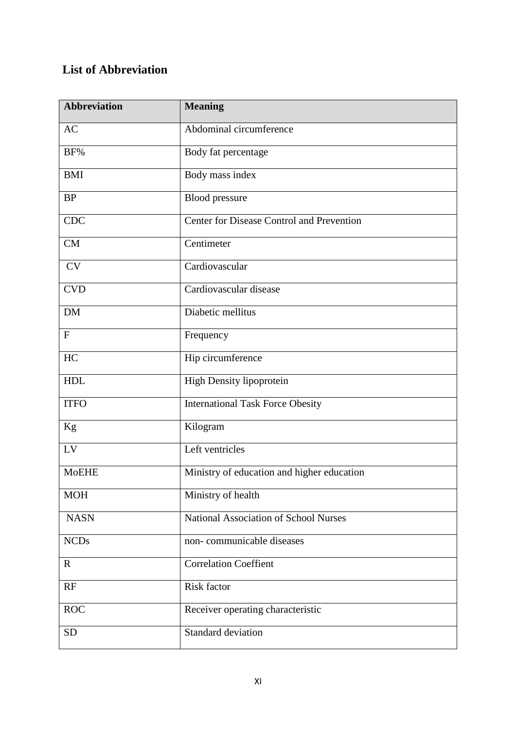# <span id="page-13-0"></span>**List of Abbreviation**

| <b>Abbreviation</b>    | <b>Meaning</b>                             |
|------------------------|--------------------------------------------|
| <b>AC</b>              | Abdominal circumference                    |
| BF%                    | Body fat percentage                        |
| <b>BMI</b>             | Body mass index                            |
| <b>BP</b>              | <b>Blood</b> pressure                      |
| <b>CDC</b>             | Center for Disease Control and Prevention  |
| CM                     | Centimeter                                 |
| <b>CV</b>              | Cardiovascular                             |
| <b>CVD</b>             | Cardiovascular disease                     |
| <b>DM</b>              | Diabetic mellitus                          |
| $\mathbf F$            | Frequency                                  |
| HC                     | Hip circumference                          |
| <b>HDL</b>             | High Density lipoprotein                   |
| <b>ITFO</b>            | <b>International Task Force Obesity</b>    |
| Kg                     | Kilogram                                   |
| $\mathbf{L}\mathbf{V}$ | Left ventricles                            |
| <b>MoEHE</b>           | Ministry of education and higher education |
| <b>MOH</b>             | Ministry of health                         |
| <b>NASN</b>            | National Association of School Nurses      |
| <b>NCDs</b>            | non-communicable diseases                  |
| $\mathbf{R}$           | <b>Correlation Coeffient</b>               |
| RF                     | Risk factor                                |
| <b>ROC</b>             | Receiver operating characteristic          |
| <b>SD</b>              | Standard deviation                         |